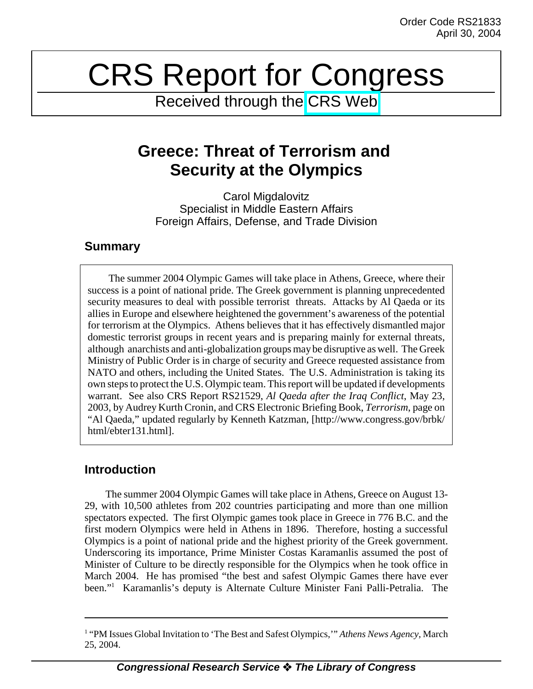# CRS Report for Congress

Received through the [CRS Web](http://www.fas.org/irp/crs/index.html)

# **Greece: Threat of Terrorism and Security at the Olympics**

Carol Migdalovitz Specialist in Middle Eastern Affairs Foreign Affairs, Defense, and Trade Division

### **Summary**

The summer 2004 Olympic Games will take place in Athens, Greece, where their success is a point of national pride. The Greek government is planning unprecedented security measures to deal with possible terrorist threats. Attacks by Al Qaeda or its allies in Europe and elsewhere heightened the government's awareness of the potential for terrorism at the Olympics. Athens believes that it has effectively dismantled major domestic terrorist groups in recent years and is preparing mainly for external threats, although anarchists and anti-globalization groups may be disruptive as well. The Greek Ministry of Public Order is in charge of security and Greece requested assistance from NATO and others, including the United States. The U.S. Administration is taking its own steps to protect the U.S. Olympic team. This report will be updated if developments warrant. See also CRS Report RS21529, *Al Qaeda after the Iraq Conflict*, May 23, 2003, by Audrey Kurth Cronin, and CRS Electronic Briefing Book, *Terrorism*, page on "Al Qaeda," updated regularly by Kenneth Katzman, [http://www.congress.gov/brbk/ html/ebter131.html].

## **Introduction**

The summer 2004 Olympic Games will take place in Athens, Greece on August 13- 29, with 10,500 athletes from 202 countries participating and more than one million spectators expected. The first Olympic games took place in Greece in 776 B.C. and the first modern Olympics were held in Athens in 1896. Therefore, hosting a successful Olympics is a point of national pride and the highest priority of the Greek government. Underscoring its importance, Prime Minister Costas Karamanlis assumed the post of Minister of Culture to be directly responsible for the Olympics when he took office in March 2004. He has promised "the best and safest Olympic Games there have ever been."1 Karamanlis's deputy is Alternate Culture Minister Fani Palli-Petralia. The

<sup>&</sup>lt;sup>1</sup> "PM Issues Global Invitation to 'The Best and Safest Olympics,'" Athens News Agency, March 25, 2004.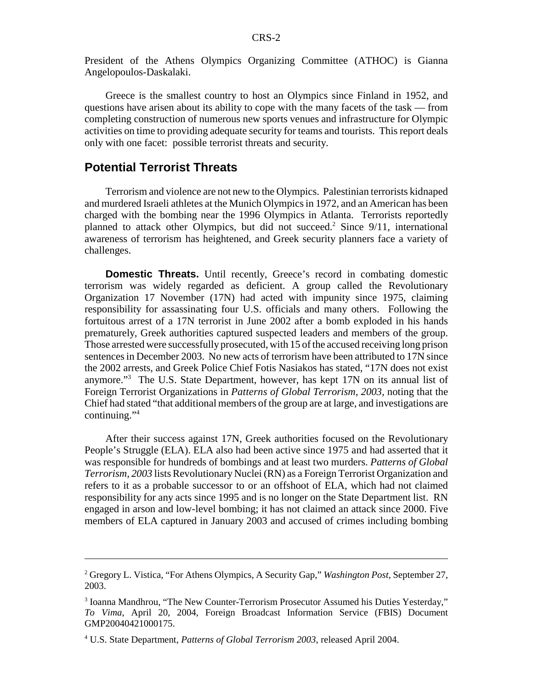President of the Athens Olympics Organizing Committee (ATHOC) is Gianna Angelopoulos-Daskalaki.

Greece is the smallest country to host an Olympics since Finland in 1952, and questions have arisen about its ability to cope with the many facets of the task — from completing construction of numerous new sports venues and infrastructure for Olympic activities on time to providing adequate security for teams and tourists. This report deals only with one facet: possible terrorist threats and security.

#### **Potential Terrorist Threats**

Terrorism and violence are not new to the Olympics. Palestinian terrorists kidnaped and murdered Israeli athletes at the Munich Olympics in 1972, and an American has been charged with the bombing near the 1996 Olympics in Atlanta. Terrorists reportedly planned to attack other Olympics, but did not succeed.<sup>2</sup> Since 9/11, international awareness of terrorism has heightened, and Greek security planners face a variety of challenges.

**Domestic Threats.** Until recently, Greece's record in combating domestic terrorism was widely regarded as deficient. A group called the Revolutionary Organization 17 November (17N) had acted with impunity since 1975, claiming responsibility for assassinating four U.S. officials and many others. Following the fortuitous arrest of a 17N terrorist in June 2002 after a bomb exploded in his hands prematurely, Greek authorities captured suspected leaders and members of the group. Those arrested were successfully prosecuted, with 15 of the accused receiving long prison sentences in December 2003. No new acts of terrorism have been attributed to 17N since the 2002 arrests, and Greek Police Chief Fotis Nasiakos has stated, "17N does not exist anymore."3 The U.S. State Department, however, has kept 17N on its annual list of Foreign Terrorist Organizations in *Patterns of Global Terrorism, 2003,* noting that the Chief had stated "that additional members of the group are at large, and investigations are continuing."<sup>4</sup>

After their success against 17N, Greek authorities focused on the Revolutionary People's Struggle (ELA). ELA also had been active since 1975 and had asserted that it was responsible for hundreds of bombings and at least two murders. *Patterns of Global Terrorism, 2003* lists Revolutionary Nuclei (RN) as a Foreign Terrorist Organization and refers to it as a probable successor to or an offshoot of ELA, which had not claimed responsibility for any acts since 1995 and is no longer on the State Department list. RN engaged in arson and low-level bombing; it has not claimed an attack since 2000. Five members of ELA captured in January 2003 and accused of crimes including bombing

<sup>2</sup> Gregory L. Vistica, "For Athens Olympics, A Security Gap," *Washington Post*, September 27, 2003.

<sup>&</sup>lt;sup>3</sup> Ioanna Mandhrou, "The New Counter-Terrorism Prosecutor Assumed his Duties Yesterday," *To Vima*, April 20, 2004, Foreign Broadcast Information Service (FBIS) Document GMP20040421000175.

<sup>4</sup> U.S. State Department, *Patterns of Global Terrorism 2003*, released April 2004.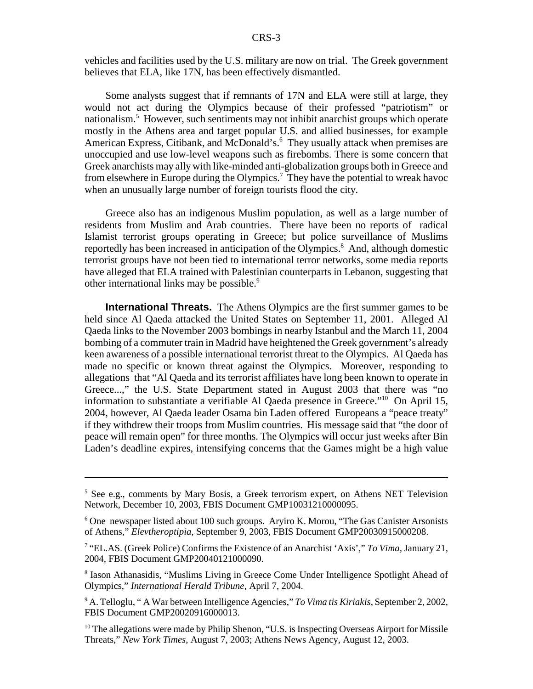vehicles and facilities used by the U.S. military are now on trial. The Greek government believes that ELA, like 17N, has been effectively dismantled.

Some analysts suggest that if remnants of 17N and ELA were still at large, they would not act during the Olympics because of their professed "patriotism" or nationalism.<sup>5</sup> However, such sentiments may not inhibit anarchist groups which operate mostly in the Athens area and target popular U.S. and allied businesses, for example American Express, Citibank, and McDonald's.<sup>6</sup> They usually attack when premises are unoccupied and use low-level weapons such as firebombs. There is some concern that Greek anarchists may ally with like-minded anti-globalization groups both in Greece and from elsewhere in Europe during the Olympics.<sup>7</sup> They have the potential to wreak havoc when an unusually large number of foreign tourists flood the city.

Greece also has an indigenous Muslim population, as well as a large number of residents from Muslim and Arab countries. There have been no reports of radical Islamist terrorist groups operating in Greece; but police surveillance of Muslims reportedly has been increased in anticipation of the Olympics.<sup>8</sup> And, although domestic terrorist groups have not been tied to international terror networks, some media reports have alleged that ELA trained with Palestinian counterparts in Lebanon, suggesting that other international links may be possible.<sup>9</sup>

**International Threats.** The Athens Olympics are the first summer games to be held since Al Qaeda attacked the United States on September 11, 2001. Alleged Al Qaeda links to the November 2003 bombings in nearby Istanbul and the March 11, 2004 bombing of a commuter train in Madrid have heightened the Greek government's already keen awareness of a possible international terrorist threat to the Olympics. Al Qaeda has made no specific or known threat against the Olympics. Moreover, responding to allegations that "Al Qaeda and its terrorist affiliates have long been known to operate in Greece...," the U.S. State Department stated in August 2003 that there was "no information to substantiate a verifiable Al Qaeda presence in Greece."10 On April 15, 2004, however, Al Qaeda leader Osama bin Laden offered Europeans a "peace treaty" if they withdrew their troops from Muslim countries. His message said that "the door of peace will remain open" for three months. The Olympics will occur just weeks after Bin Laden's deadline expires, intensifying concerns that the Games might be a high value

<sup>&</sup>lt;sup>5</sup> See e.g., comments by Mary Bosis, a Greek terrorism expert, on Athens NET Television Network, December 10, 2003, FBIS Document GMP10031210000095.

<sup>&</sup>lt;sup>6</sup> One newspaper listed about 100 such groups. Aryiro K. Morou, "The Gas Canister Arsonists of Athens," *Elevtheroptipia*, September 9, 2003, FBIS Document GMP20030915000208.

<sup>7</sup> "EL.AS. (Greek Police) Confirms the Existence of an Anarchist 'Axis'," *To Vima,* January 21, 2004, FBIS Document GMP20040121000090.

<sup>&</sup>lt;sup>8</sup> Iason Athanasidis, "Muslims Living in Greece Come Under Intelligence Spotlight Ahead of Olympics," *International Herald Tribune*, April 7, 2004.

<sup>9</sup> A. Telloglu, " A War between Intelligence Agencies," *To Vima tis Kiriakis*, September 2, 2002, FBIS Document GMP20020916000013.

 $10$  The allegations were made by Philip Shenon, "U.S. is Inspecting Overseas Airport for Missile Threats," *New York Times*, August 7, 2003; Athens News Agency, August 12, 2003.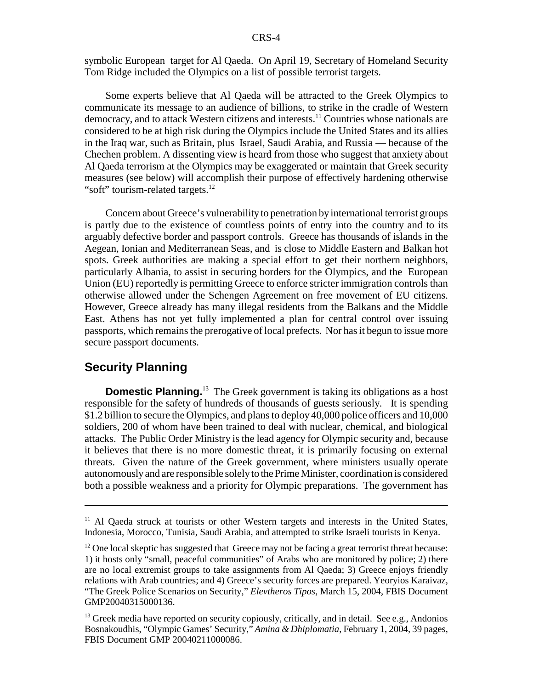symbolic European target for Al Qaeda. On April 19, Secretary of Homeland Security Tom Ridge included the Olympics on a list of possible terrorist targets.

Some experts believe that Al Qaeda will be attracted to the Greek Olympics to communicate its message to an audience of billions, to strike in the cradle of Western democracy, and to attack Western citizens and interests.<sup>11</sup> Countries whose nationals are considered to be at high risk during the Olympics include the United States and its allies in the Iraq war, such as Britain, plus Israel, Saudi Arabia, and Russia — because of the Chechen problem. A dissenting view is heard from those who suggest that anxiety about Al Qaeda terrorism at the Olympics may be exaggerated or maintain that Greek security measures (see below) will accomplish their purpose of effectively hardening otherwise "soft" tourism-related targets.<sup>12</sup>

Concern about Greece's vulnerability to penetration by international terrorist groups is partly due to the existence of countless points of entry into the country and to its arguably defective border and passport controls. Greece has thousands of islands in the Aegean, Ionian and Mediterranean Seas, and is close to Middle Eastern and Balkan hot spots. Greek authorities are making a special effort to get their northern neighbors, particularly Albania, to assist in securing borders for the Olympics, and the European Union (EU) reportedly is permitting Greece to enforce stricter immigration controls than otherwise allowed under the Schengen Agreement on free movement of EU citizens. However, Greece already has many illegal residents from the Balkans and the Middle East. Athens has not yet fully implemented a plan for central control over issuing passports, which remains the prerogative of local prefects. Nor has it begun to issue more secure passport documents.

#### **Security Planning**

**Domestic Planning.**<sup>13</sup> The Greek government is taking its obligations as a host responsible for the safety of hundreds of thousands of guests seriously. It is spending \$1.2 billion to secure the Olympics, and plans to deploy 40,000 police officers and 10,000 soldiers, 200 of whom have been trained to deal with nuclear, chemical, and biological attacks. The Public Order Ministry is the lead agency for Olympic security and, because it believes that there is no more domestic threat, it is primarily focusing on external threats. Given the nature of the Greek government, where ministers usually operate autonomously and are responsible solely to the Prime Minister, coordination is considered both a possible weakness and a priority for Olympic preparations. The government has

<sup>&</sup>lt;sup>11</sup> Al Qaeda struck at tourists or other Western targets and interests in the United States, Indonesia, Morocco, Tunisia, Saudi Arabia, and attempted to strike Israeli tourists in Kenya.

 $12$  One local skeptic has suggested that Greece may not be facing a great terrorist threat because: 1) it hosts only "small, peaceful communities" of Arabs who are monitored by police; 2) there are no local extremist groups to take assignments from Al Qaeda; 3) Greece enjoys friendly relations with Arab countries; and 4) Greece's security forces are prepared. Yeoryios Karaivaz, "The Greek Police Scenarios on Security," *Elevtheros Tipos*, March 15, 2004, FBIS Document GMP20040315000136.

 $13$  Greek media have reported on security copiously, critically, and in detail. See e.g., Andonios Bosnakoudhis, "Olympic Games' Security," *Amina & Dhiplomatia*, February 1, 2004, 39 pages, FBIS Document GMP 20040211000086.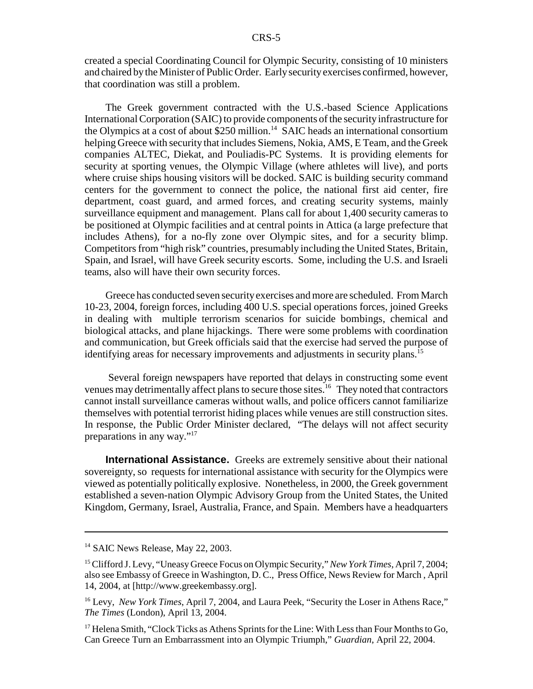created a special Coordinating Council for Olympic Security, consisting of 10 ministers and chaired by the Minister of Public Order. Early security exercises confirmed, however, that coordination was still a problem.

The Greek government contracted with the U.S.-based Science Applications International Corporation (SAIC) to provide components of the security infrastructure for the Olympics at a cost of about \$250 million.<sup>14</sup> SAIC heads an international consortium helping Greece with security that includes Siemens, Nokia, AMS, E Team, and the Greek companies ALTEC, Diekat, and Pouliadis-PC Systems. It is providing elements for security at sporting venues, the Olympic Village (where athletes will live), and ports where cruise ships housing visitors will be docked. SAIC is building security command centers for the government to connect the police, the national first aid center, fire department, coast guard, and armed forces, and creating security systems, mainly surveillance equipment and management. Plans call for about 1,400 security cameras to be positioned at Olympic facilities and at central points in Attica (a large prefecture that includes Athens), for a no-fly zone over Olympic sites, and for a security blimp. Competitors from "high risk" countries, presumably including the United States, Britain, Spain, and Israel, will have Greek security escorts. Some, including the U.S. and Israeli teams, also will have their own security forces.

Greece has conducted seven security exercises and more are scheduled. From March 10-23, 2004, foreign forces, including 400 U.S. special operations forces, joined Greeks in dealing with multiple terrorism scenarios for suicide bombings, chemical and biological attacks, and plane hijackings. There were some problems with coordination and communication, but Greek officials said that the exercise had served the purpose of identifying areas for necessary improvements and adjustments in security plans.<sup>15</sup>

 Several foreign newspapers have reported that delays in constructing some event venues may detrimentally affect plans to secure those sites.16 They noted that contractors cannot install surveillance cameras without walls, and police officers cannot familiarize themselves with potential terrorist hiding places while venues are still construction sites. In response, the Public Order Minister declared, "The delays will not affect security preparations in any way."17

**International Assistance.** Greeks are extremely sensitive about their national sovereignty, so requests for international assistance with security for the Olympics were viewed as potentially politically explosive. Nonetheless, in 2000, the Greek government established a seven-nation Olympic Advisory Group from the United States, the United Kingdom, Germany, Israel, Australia, France, and Spain. Members have a headquarters

<sup>&</sup>lt;sup>14</sup> SAIC News Release, May 22, 2003.

<sup>15</sup> Clifford J. Levy, "Uneasy Greece Focus on Olympic Security," *New York Times*, April 7, 2004; also see Embassy of Greece in Washington, D. C., Press Office, News Review for March , April 14, 2004, at [http://www.greekembassy.org].

<sup>&</sup>lt;sup>16</sup> Levy, *New York Times*, April 7, 2004, and Laura Peek, "Security the Loser in Athens Race," *The Times* (London), April 13, 2004.

<sup>&</sup>lt;sup>17</sup> Helena Smith, "Clock Ticks as Athens Sprints for the Line: With Less than Four Months to Go, Can Greece Turn an Embarrassment into an Olympic Triumph," *Guardian*, April 22, 2004.